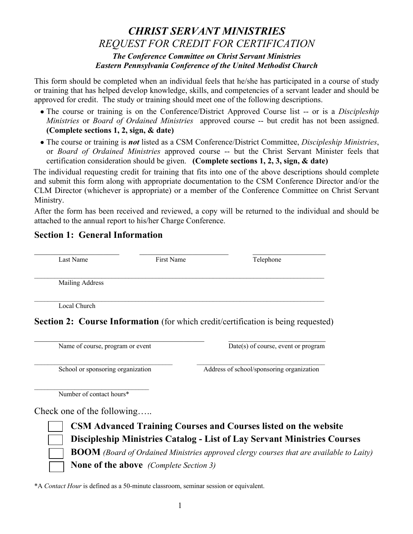## *CHRIST SERVANT MINISTRIES REQUEST FOR CREDIT FOR CERTIFICATION The Conference Committee on Christ Servant Ministries Eastern Pennsylvania Conference of the United Methodist Church*

This form should be completed when an individual feels that he/she has participated in a course of study or training that has helped develop knowledge, skills, and competencies of a servant leader and should be approved for credit. The study or training should meet one of the following descriptions.

- The course or training is on the Conference/District Approved Course list -- or is a *Discipleship Ministries* or *Board of Ordained Ministries* approved course -- but credit has not been assigned. **(Complete sections 1, 2, sign, & date)**
- The course or training is *not* listed as a CSM Conference/District Committee, *Discipleship Ministries*, or *Board of Ordained Ministries* approved course -- but the Christ Servant Minister feels that certification consideration should be given. **(Complete sections 1, 2, 3, sign, & date)**

The individual requesting credit for training that fits into one of the above descriptions should complete and submit this form along with appropriate documentation to the CSM Conference Director and/or the CLM Director (whichever is appropriate) or a member of the Conference Committee on Christ Servant Ministry.

After the form has been received and reviewed, a copy will be returned to the individual and should be attached to the annual report to his/her Charge Conference.

## **Section 1: General Information**

| Last Name              | First Name | Telephone |
|------------------------|------------|-----------|
| <b>Mailing Address</b> |            |           |
|                        |            |           |
| Local Church           |            |           |

**Section 2: Course Information** (for which credit/certification is being requested)

Name of course, program or event Date(s) of course, event or program

 $\mathcal{L}_\text{max}$ School or sponsoring organization Address of school/sponsoring organization

Number of contact hours\*

Check one of the following…..



**CSM Advanced Training Courses and Courses listed on the website Discipleship Ministries Catalog - List of Lay Servant Ministries Courses BOOM** *(Board of Ordained Ministries approved clergy courses that are available to Laity)* **None of the above** *(Complete Section 3)*

\*A *Contact Hour* is defined as a 50-minute classroom, seminar session or equivalent.